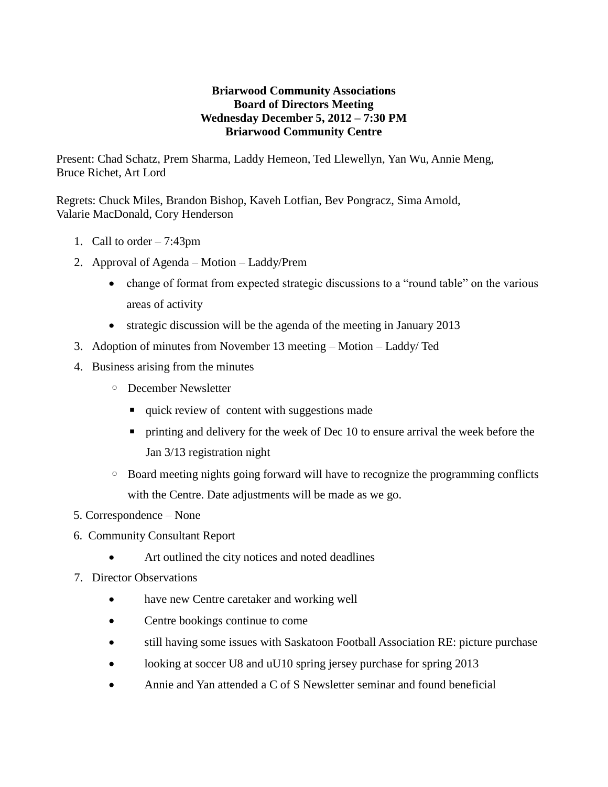## **Briarwood Community Associations Board of Directors Meeting Wednesday December 5, 2012 – 7:30 PM Briarwood Community Centre**

Present: Chad Schatz, Prem Sharma, Laddy Hemeon, Ted Llewellyn, Yan Wu, Annie Meng, Bruce Richet, Art Lord

Regrets: Chuck Miles, Brandon Bishop, Kaveh Lotfian, Bev Pongracz, Sima Arnold, Valarie MacDonald, Cory Henderson

- 1. Call to order 7:43pm
- 2. Approval of Agenda Motion Laddy/Prem
	- change of format from expected strategic discussions to a "round table" on the various areas of activity
	- strategic discussion will be the agenda of the meeting in January 2013
- 3. Adoption of minutes from November 13 meeting Motion Laddy/ Ted
- 4. Business arising from the minutes
	- December Newsletter
		- quick review of content with suggestions made
		- printing and delivery for the week of Dec 10 to ensure arrival the week before the Jan 3/13 registration night
	- Board meeting nights going forward will have to recognize the programming conflicts with the Centre. Date adjustments will be made as we go.
- 5. Correspondence None
- 6. Community Consultant Report
	- Art outlined the city notices and noted deadlines
- 7. Director Observations
	- have new Centre caretaker and working well
	- Centre bookings continue to come
	- still having some issues with Saskatoon Football Association RE: picture purchase
	- looking at soccer U8 and uU10 spring jersey purchase for spring 2013
	- Annie and Yan attended a C of S Newsletter seminar and found beneficial